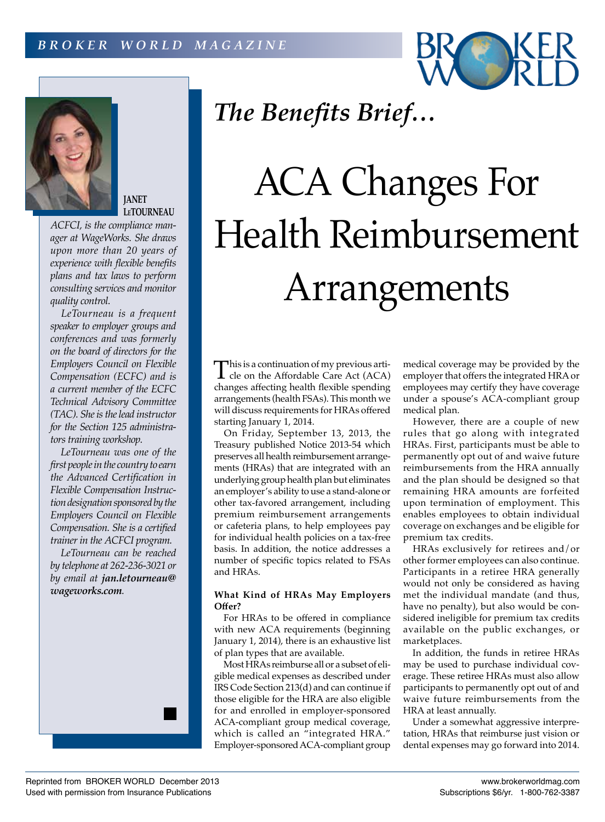



### **JANET LeTOURNEAU**

*ACFCI, is the compliance manager at WageWorks. She draws upon more than 20 years of experience with flexible benefits plans and tax laws to perform consulting services and monitor quality control.*

*LeTourneau is a frequent speaker to employer groups and conferences and was formerly on the board of directors for the Employers Council on Flexible Compensation (ECFC) and is a current member of the ECFC Technical Advisory Committee (TAC). She is the lead instructor for the Section 125 administrators training workshop.*

*LeTourneau was one of the first people in the country to earn the Advanced Certification in Flexible Compensation Instruction designation sponsored by the Employers Council on Flexible Compensation. She is a certified trainer in the ACFCI program.*

*LeTourneau can be reached by telephone at 262-236-3021 or by email at jan.letourneau@ wageworks.com.*



## *The Benefits Brief…*

# ACA Changes For Health Reimbursement Arrangements

This is a continuation of my previous arti-<br>cle on the Affordable Care Act (ACA) changes affecting health flexible spending arrangements (health FSAs). This month we will discuss requirements for HRAs offered starting January 1, 2014.

On Friday, September 13, 2013, the Treasury published Notice 2013-54 which preserves all health reimbursement arrangements (HRAs) that are integrated with an underlying group health plan but eliminates an employer's ability to use a stand-alone or other tax-favored arrangement, including premium reimbursement arrangements or cafeteria plans, to help employees pay for individual health policies on a tax-free basis. In addition, the notice addresses a number of specific topics related to FSAs and HRAs.

### **What Kind of HRAs May Employers Offer?**

For HRAs to be offered in compliance with new ACA requirements (beginning January 1, 2014), there is an exhaustive list of plan types that are available.

Most HRAs reimburse all or a subset of eligible medical expenses as described under IRS Code Section 213(d) and can continue if those eligible for the HRA are also eligible for and enrolled in employer-sponsored ACA-compliant group medical coverage, which is called an "integrated HRA." Employer-sponsored ACA-compliant group

medical coverage may be provided by the employer that offers the integrated HRA or employees may certify they have coverage under a spouse's ACA-compliant group medical plan.

However, there are a couple of new rules that go along with integrated HRAs. First, participants must be able to permanently opt out of and waive future reimbursements from the HRA annually and the plan should be designed so that remaining HRA amounts are forfeited upon termination of employment. This enables employees to obtain individual coverage on exchanges and be eligible for premium tax credits.

HRAs exclusively for retirees and/or other former employees can also continue. Participants in a retiree HRA generally would not only be considered as having met the individual mandate (and thus, have no penalty), but also would be considered ineligible for premium tax credits available on the public exchanges, or marketplaces.

In addition, the funds in retiree HRAs may be used to purchase individual coverage. These retiree HRAs must also allow participants to permanently opt out of and waive future reimbursements from the HRA at least annually.

Under a somewhat aggressive interpretation, HRAs that reimburse just vision or dental expenses may go forward into 2014.